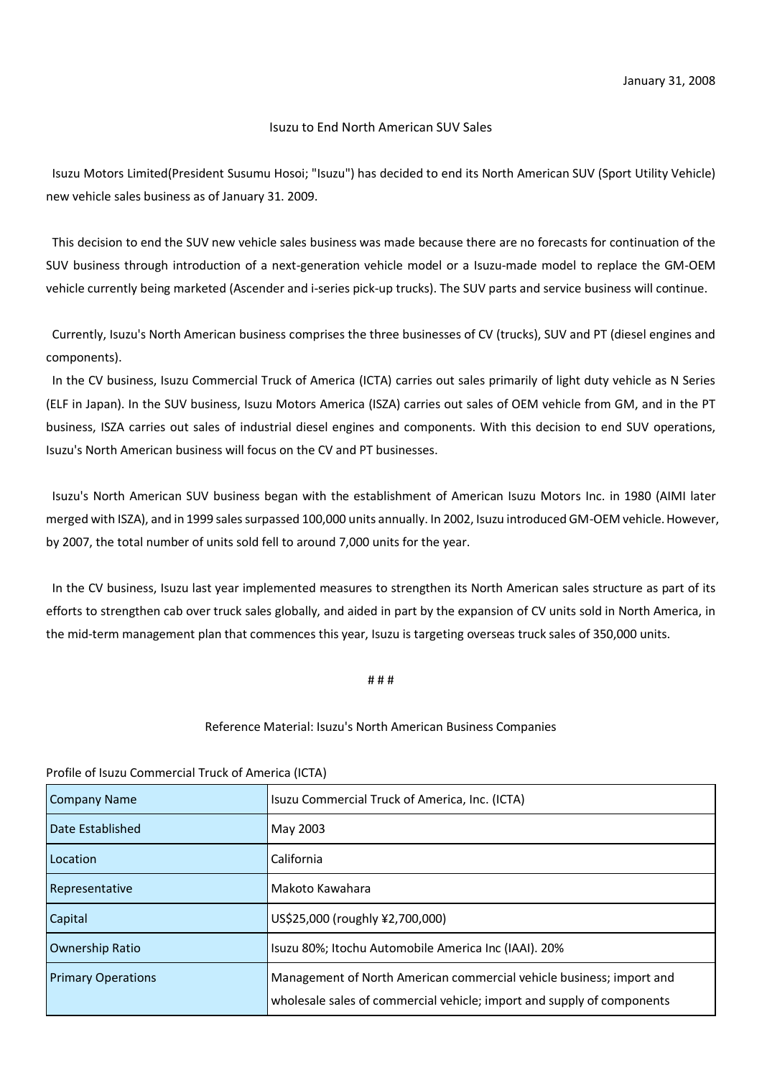## Isuzu to End North American SUV Sales

Isuzu Motors Limited(President Susumu Hosoi; "Isuzu") has decided to end its North American SUV (Sport Utility Vehicle) new vehicle sales business as of January 31. 2009.

This decision to end the SUV new vehicle sales business was made because there are no forecasts for continuation of the SUV business through introduction of a next-generation vehicle model or a Isuzu-made model to replace the GM-OEM vehicle currently being marketed (Ascender and i-series pick-up trucks). The SUV parts and service business will continue.

Currently, Isuzu's North American business comprises the three businesses of CV (trucks), SUV and PT (diesel engines and components).

In the CV business, Isuzu Commercial Truck of America (ICTA) carries out sales primarily of light duty vehicle as N Series (ELF in Japan). In the SUV business, Isuzu Motors America (ISZA) carries out sales of OEM vehicle from GM, and in the PT business, ISZA carries out sales of industrial diesel engines and components. With this decision to end SUV operations, Isuzu's North American business will focus on the CV and PT businesses.

Isuzu's North American SUV business began with the establishment of American Isuzu Motors Inc. in 1980 (AIMI later merged with ISZA), and in 1999 sales surpassed 100,000 units annually. In 2002, Isuzu introduced GM-OEM vehicle. However, by 2007, the total number of units sold fell to around 7,000 units for the year.

In the CV business, Isuzu last year implemented measures to strengthen its North American sales structure as part of its efforts to strengthen cab over truck sales globally, and aided in part by the expansion of CV units sold in North America, in the mid-term management plan that commences this year, Isuzu is targeting overseas truck sales of 350,000 units.

# # #

## Reference Material: Isuzu's North American Business Companies

Profile of Isuzu Commercial Truck of America (ICTA)

| Company Name              | Isuzu Commercial Truck of America, Inc. (ICTA)                         |
|---------------------------|------------------------------------------------------------------------|
| Date Established          | May 2003                                                               |
| Location                  | California                                                             |
| Representative            | Makoto Kawahara                                                        |
| Capital                   | US\$25,000 (roughly ¥2,700,000)                                        |
| <b>Ownership Ratio</b>    | Isuzu 80%; Itochu Automobile America Inc (IAAI). 20%                   |
| <b>Primary Operations</b> | Management of North American commercial vehicle business; import and   |
|                           | wholesale sales of commercial vehicle; import and supply of components |